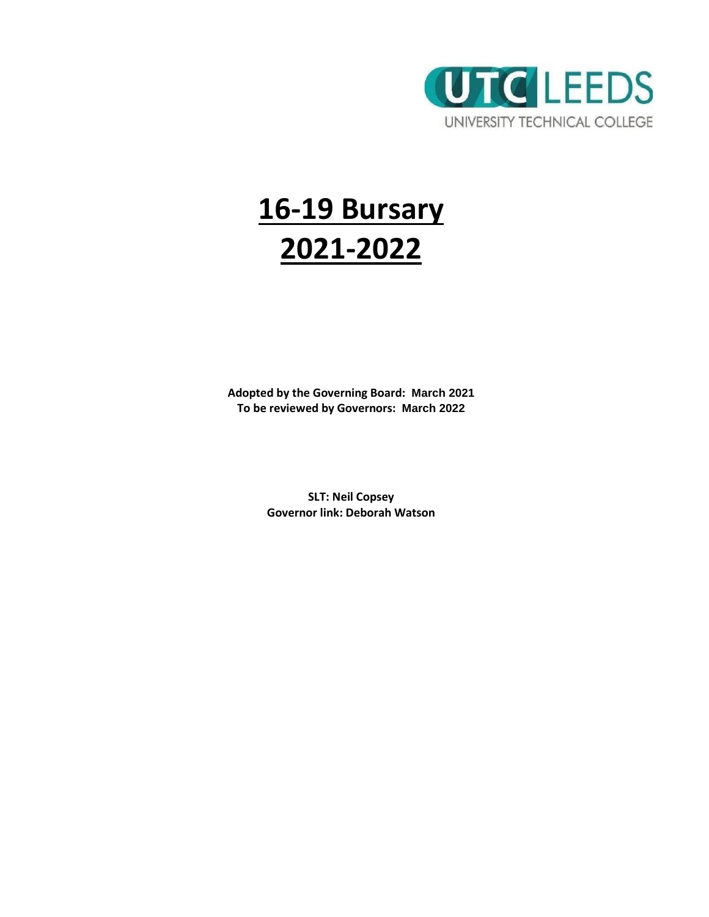

# **16-19 Bursary 2021-2022**

**Adopted by the Governing Board: March 2021 To be reviewed by Governors: March 2022**

> **SLT: Neil Copsey Governor link: Deborah Watson**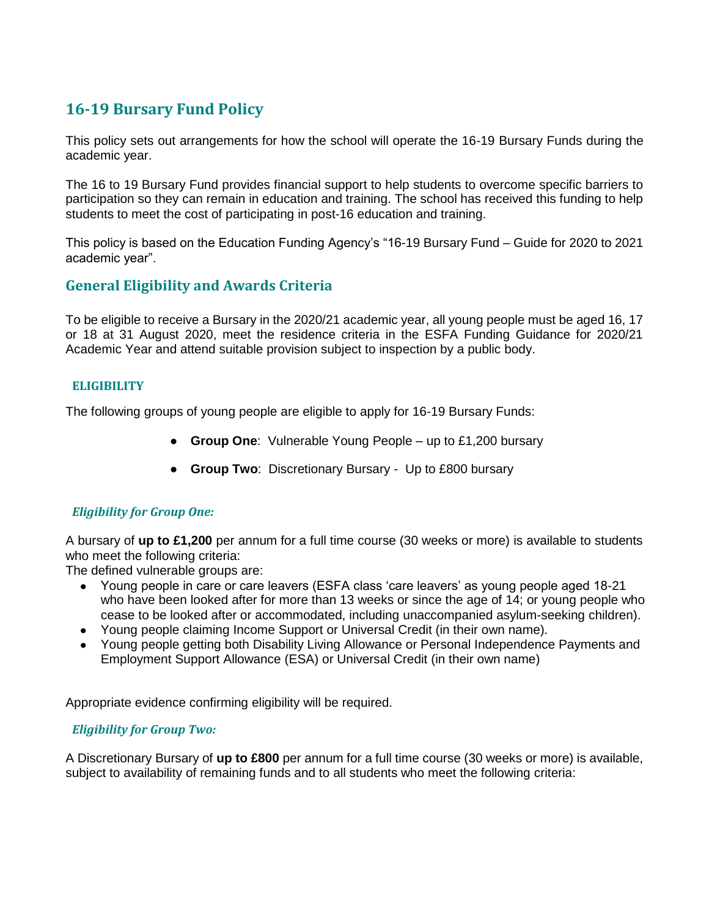# **16-19 Bursary Fund Policy**

This policy sets out arrangements for how the school will operate the 16-19 Bursary Funds during the academic year.

The 16 to 19 Bursary Fund provides financial support to help students to overcome specific barriers to participation so they can remain in education and training. The school has received this funding to help students to meet the cost of participating in post-16 education and training.

This policy is based on the Education Funding Agency's "16-19 Bursary Fund – Guide for 2020 to 2021 academic year".

# **General Eligibility and Awards Criteria**

To be eligible to receive a Bursary in the 2020/21 academic year, all young people must be aged 16, 17 or 18 at 31 August 2020, meet the residence criteria in the ESFA Funding Guidance for 2020/21 Academic Year and attend suitable provision subject to inspection by a public body.

#### **ELIGIBILITY**

The following groups of young people are eligible to apply for 16-19 Bursary Funds:

- **Group One**: Vulnerable Young People up to £1,200 bursary
- **Group Two**: Discretionary Bursary Up to £800 bursary

# *Eligibility for Group One:*

A bursary of **up to £1,200** per annum for a full time course (30 weeks or more) is available to students who meet the following criteria:

The defined vulnerable groups are:

- Young people in care or care leavers (ESFA class 'care leavers' as young people aged 18-21 who have been looked after for more than 13 weeks or since the age of 14; or young people who cease to be looked after or accommodated, including unaccompanied asylum-seeking children).
- Young people claiming Income Support or Universal Credit (in their own name).
- Young people getting both Disability Living Allowance or Personal Independence Payments and Employment Support Allowance (ESA) or Universal Credit (in their own name)

Appropriate evidence confirming eligibility will be required.

#### *Eligibility for Group Two:*

A Discretionary Bursary of **up to £800** per annum for a full time course (30 weeks or more) is available, subject to availability of remaining funds and to all students who meet the following criteria: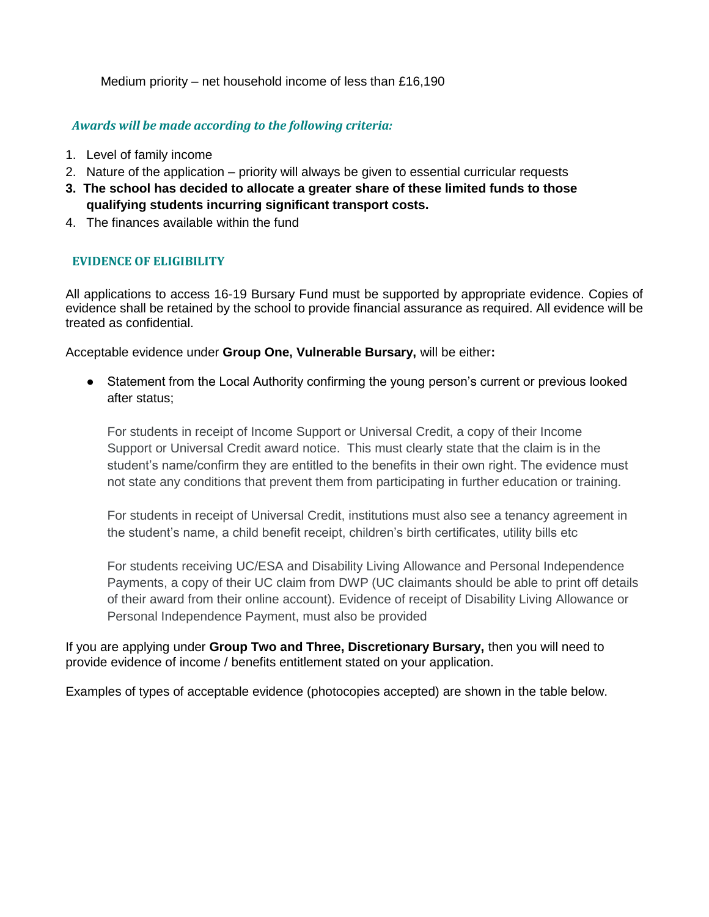Medium priority – net household income of less than £16,190

#### *Awards will be made according to the following criteria:*

- 1. Level of family income
- 2. Nature of the application priority will always be given to essential curricular requests
- **3. The school has decided to allocate a greater share of these limited funds to those qualifying students incurring significant transport costs.**
- 4. The finances available within the fund

# **EVIDENCE OF ELIGIBILITY**

All applications to access 16-19 Bursary Fund must be supported by appropriate evidence. Copies of evidence shall be retained by the school to provide financial assurance as required. All evidence will be treated as confidential.

Acceptable evidence under **Group One, Vulnerable Bursary,** will be either**:**

● Statement from the Local Authority confirming the young person's current or previous looked after status;

For students in receipt of Income Support or Universal Credit, a copy of their Income Support or Universal Credit award notice. This must clearly state that the claim is in the student's name/confirm they are entitled to the benefits in their own right. The evidence must not state any conditions that prevent them from participating in further education or training.

For students in receipt of Universal Credit, institutions must also see a tenancy agreement in the student's name, a child benefit receipt, children's birth certificates, utility bills etc

For students receiving UC/ESA and Disability Living Allowance and Personal Independence Payments, a copy of their UC claim from DWP (UC claimants should be able to print off details of their award from their online account). Evidence of receipt of Disability Living Allowance or Personal Independence Payment, must also be provided

If you are applying under **Group Two and Three, Discretionary Bursary,** then you will need to provide evidence of income / benefits entitlement stated on your application.

Examples of types of acceptable evidence (photocopies accepted) are shown in the table below.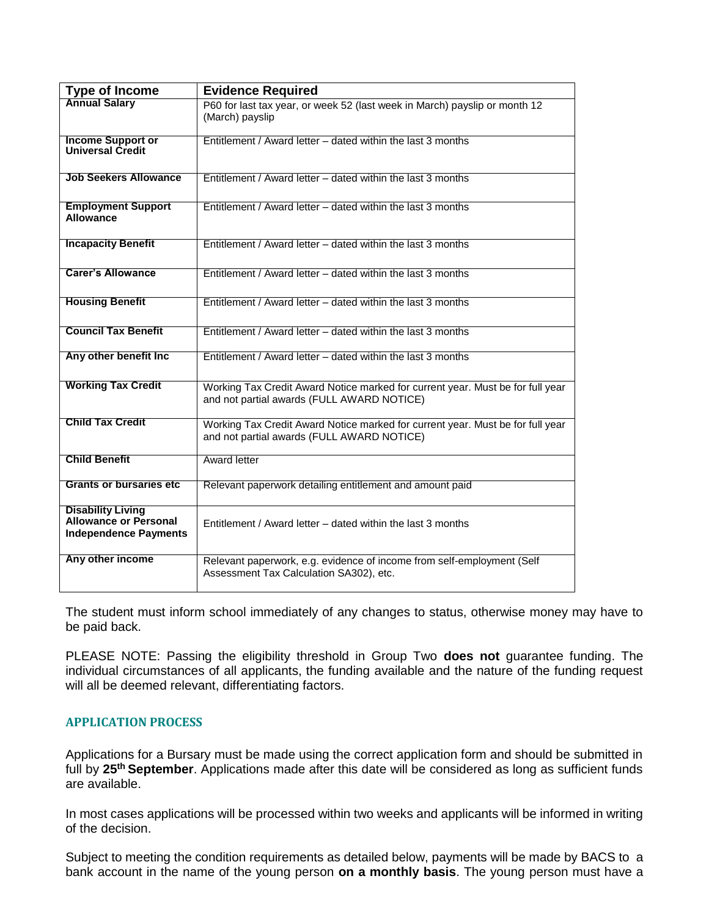| <b>Type of Income</b>                                                                    | <b>Evidence Required</b>                                                                                                     |
|------------------------------------------------------------------------------------------|------------------------------------------------------------------------------------------------------------------------------|
| <b>Annual Salary</b>                                                                     | P60 for last tax year, or week 52 (last week in March) payslip or month 12<br>(March) payslip                                |
| <b>Income Support or</b><br>Universal Credit                                             | Entitlement / Award letter – dated within the last 3 months                                                                  |
| <b>Job Seekers Allowance</b>                                                             | Entitlement / Award letter – dated within the last 3 months                                                                  |
| <b>Employment Support</b><br>Allowance                                                   | Entitlement / Award letter – dated within the last 3 months                                                                  |
| <b>Incapacity Benefit</b>                                                                | Entitlement / Award letter – dated within the last 3 months                                                                  |
| <b>Carer's Allowance</b>                                                                 | Entitlement / Award letter – dated within the last 3 months                                                                  |
| <b>Housing Benefit</b>                                                                   | Entitlement / Award letter – dated within the last 3 months                                                                  |
| <b>Council Tax Benefit</b>                                                               | Entitlement / Award letter – dated within the last 3 months                                                                  |
| Any other benefit Inc                                                                    | Entitlement / Award letter – dated within the last 3 months                                                                  |
| <b>Working Tax Credit</b>                                                                | Working Tax Credit Award Notice marked for current year. Must be for full year<br>and not partial awards (FULL AWARD NOTICE) |
| <b>Child Tax Credit</b>                                                                  | Working Tax Credit Award Notice marked for current year. Must be for full year<br>and not partial awards (FULL AWARD NOTICE) |
| <b>Child Benefit</b>                                                                     | Award letter                                                                                                                 |
| <b>Grants or bursaries etc.</b>                                                          | Relevant paperwork detailing entitlement and amount paid                                                                     |
| <b>Disability Living</b><br><b>Allowance or Personal</b><br><b>Independence Payments</b> | Entitlement / Award letter – dated within the last 3 months                                                                  |
| Any other income                                                                         | Relevant paperwork, e.g. evidence of income from self-employment (Self<br>Assessment Tax Calculation SA302), etc.            |

The student must inform school immediately of any changes to status, otherwise money may have to be paid back.

PLEASE NOTE: Passing the eligibility threshold in Group Two **does not** guarantee funding. The individual circumstances of all applicants, the funding available and the nature of the funding request will all be deemed relevant, differentiating factors.

#### **APPLICATION PROCESS**

Applications for a Bursary must be made using the correct application form and should be submitted in full by **25th September**. Applications made after this date will be considered as long as sufficient funds are available.

In most cases applications will be processed within two weeks and applicants will be informed in writing of the decision.

Subject to meeting the condition requirements as detailed below, payments will be made by BACS to a bank account in the name of the young person **on a monthly basis**. The young person must have a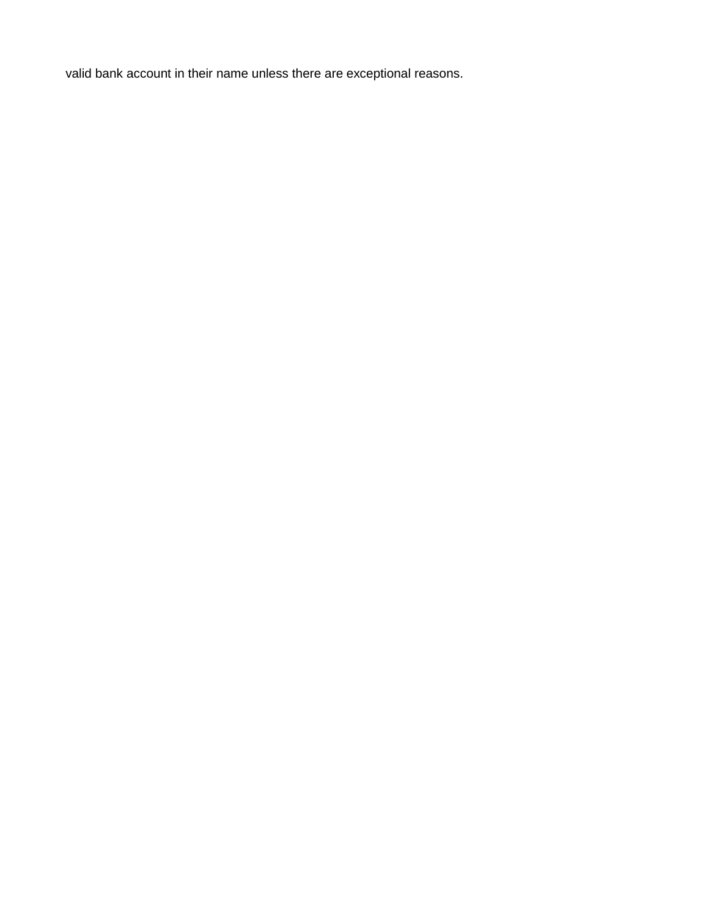valid bank account in their name unless there are exceptional reasons.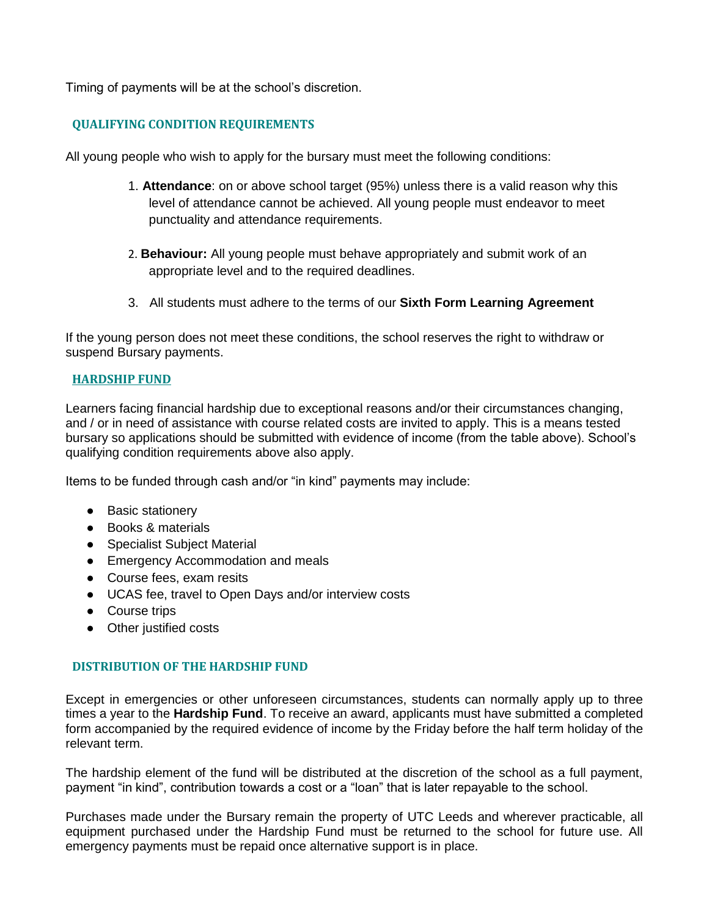Timing of payments will be at the school's discretion.

#### **QUALIFYING CONDITION REQUIREMENTS**

All young people who wish to apply for the bursary must meet the following conditions:

- 1. **Attendance**: on or above school target (95%) unless there is a valid reason why this level of attendance cannot be achieved. All young people must endeavor to meet punctuality and attendance requirements.
- 2. **Behaviour:** All young people must behave appropriately and submit work of an appropriate level and to the required deadlines.
- 3. All students must adhere to the terms of our **Sixth Form Learning Agreement**

If the young person does not meet these conditions, the school reserves the right to withdraw or suspend Bursary payments.

#### **HARDSHIP FUND**

Learners facing financial hardship due to exceptional reasons and/or their circumstances changing, and / or in need of assistance with course related costs are invited to apply. This is a means tested bursary so applications should be submitted with evidence of income (from the table above). School's qualifying condition requirements above also apply.

Items to be funded through cash and/or "in kind" payments may include:

- Basic stationery
- Books & materials
- Specialist Subject Material
- Emergency Accommodation and meals
- Course fees, exam resits
- UCAS fee, travel to Open Days and/or interview costs
- Course trips
- Other justified costs

#### **DISTRIBUTION OF THE HARDSHIP FUND**

Except in emergencies or other unforeseen circumstances, students can normally apply up to three times a year to the **Hardship Fund**. To receive an award, applicants must have submitted a completed form accompanied by the required evidence of income by the Friday before the half term holiday of the relevant term.

The hardship element of the fund will be distributed at the discretion of the school as a full payment, payment "in kind", contribution towards a cost or a "loan" that is later repayable to the school.

Purchases made under the Bursary remain the property of UTC Leeds and wherever practicable, all equipment purchased under the Hardship Fund must be returned to the school for future use. All emergency payments must be repaid once alternative support is in place.